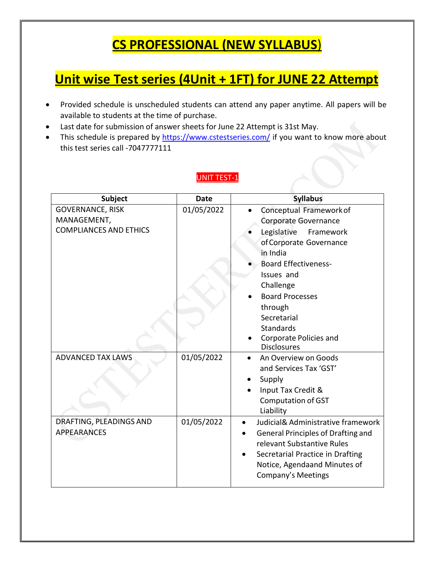## **CS PROFESSIONAL (NEW SYLLABUS**)

## **Unit wise Test series (4Unit + 1FT) for JUNE 22 Attempt**

- Provided schedule is unscheduled students can attend any paper anytime. All papers will be available to students at the time of purchase.
- Last date for submission of answer sheets for June 22 Attempt is 31st May.
- This schedule is prepared by <https://www.cstestseries.com/> if you want to know more about this test series call -7047777111

#### UNIT TEST-1

| <b>Subject</b>                         | <b>Date</b> | <b>Syllabus</b>                              |
|----------------------------------------|-------------|----------------------------------------------|
| <b>GOVERNANCE, RISK</b><br>MANAGEMENT, | 01/05/2022  | Conceptual Framework of                      |
| <b>COMPLIANCES AND ETHICS</b>          |             | Corporate Governance                         |
|                                        |             | Legislative<br>Framework                     |
|                                        |             | of Corporate Governance                      |
|                                        |             | in India                                     |
|                                        |             | <b>Board Effectiveness-</b>                  |
|                                        |             | Issues and                                   |
|                                        |             | Challenge                                    |
|                                        |             | <b>Board Processes</b>                       |
|                                        |             | through                                      |
|                                        |             | Secretarial                                  |
|                                        |             | <b>Standards</b>                             |
|                                        |             | Corporate Policies and<br><b>Disclosures</b> |
| <b>ADVANCED TAX LAWS</b>               | 01/05/2022  | An Overview on Goods                         |
|                                        |             | and Services Tax 'GST'                       |
|                                        |             |                                              |
|                                        |             | Supply                                       |
|                                        |             | Input Tax Credit &                           |
|                                        |             | <b>Computation of GST</b><br>Liability       |
| DRAFTING, PLEADINGS AND                |             | Judicial& Administrative framework           |
| <b>APPEARANCES</b>                     | 01/05/2022  | $\bullet$                                    |
|                                        |             | <b>General Principles of Drafting and</b>    |
|                                        |             | relevant Substantive Rules                   |
|                                        |             | Secretarial Practice in Drafting             |
|                                        |             | Notice, Agendaand Minutes of                 |
|                                        |             | Company's Meetings                           |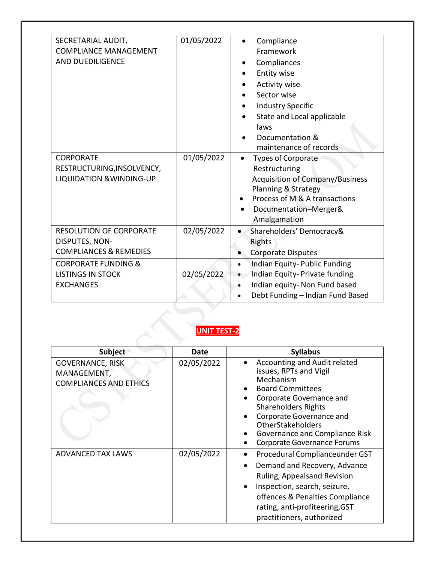| SECRETARIAL AUDIT,<br><b>COMPLIANCE MANAGEMENT</b><br>AND DUEDILIGENCE<br><b>CORPORATE</b><br>RESTRUCTURING, INSOLVENCY,<br><b>LIQUIDATION &amp; WINDING-UP</b> | 01/05/2022<br>01/05/2022 | Compliance<br>Framework<br>Compliances<br>Entity wise<br><b>Activity wise</b><br>Sector wise<br><b>Industry Specific</b><br>State and Local applicable<br>laws<br>Documentation &<br>maintenance of records<br><b>Types of Corporate</b><br>Restructuring<br><b>Acquisition of Company/Business</b><br>Planning & Strategy<br>Process of M & A transactions<br>Documentation-Merger& |
|-----------------------------------------------------------------------------------------------------------------------------------------------------------------|--------------------------|--------------------------------------------------------------------------------------------------------------------------------------------------------------------------------------------------------------------------------------------------------------------------------------------------------------------------------------------------------------------------------------|
| <b>RESOLUTION OF CORPORATE</b><br>DISPUTES, NON-<br><b>COMPLIANCES &amp; REMEDIES</b>                                                                           | 02/05/2022               | Amalgamation<br>Shareholders' Democracy&<br>$\bullet$<br>Rights<br><b>Corporate Disputes</b>                                                                                                                                                                                                                                                                                         |
| <b>CORPORATE FUNDING &amp;</b><br><b>LISTINGS IN STOCK</b><br><b>EXCHANGES</b>                                                                                  | 02/05/2022               | Indian Equity-Public Funding<br>$\bullet$<br>Indian Equity- Private funding<br>$\bullet$<br>Indian equity- Non Fund based<br>Debt Funding - Indian Fund Based<br>$\bullet$                                                                                                                                                                                                           |

#### **UNIT TEST-2**

| <b>Subject</b>                                                          | Date       | <b>Syllabus</b>                                                                                                                                                                                                                                                                          |
|-------------------------------------------------------------------------|------------|------------------------------------------------------------------------------------------------------------------------------------------------------------------------------------------------------------------------------------------------------------------------------------------|
| <b>GOVERNANCE, RISK</b><br>MANAGEMENT,<br><b>COMPLIANCES AND ETHICS</b> | 02/05/2022 | Accounting and Audit related<br>issues, RPTs and Vigil<br>Mechanism<br><b>Board Committees</b><br>Corporate Governance and<br><b>Shareholders Rights</b><br>Corporate Governance and<br><b>OtherStakeholders</b><br>Governance and Compliance Risk<br><b>Corporate Governance Forums</b> |
| <b>ADVANCED TAX LAWS</b>                                                | 02/05/2022 | Procedural Complianceunder GST<br>Demand and Recovery, Advance<br>Ruling, Appealsand Revision<br>Inspection, search, seizure,<br>offences & Penalties Compliance<br>rating, anti-profiteering, GST<br>practitioners, authorized                                                          |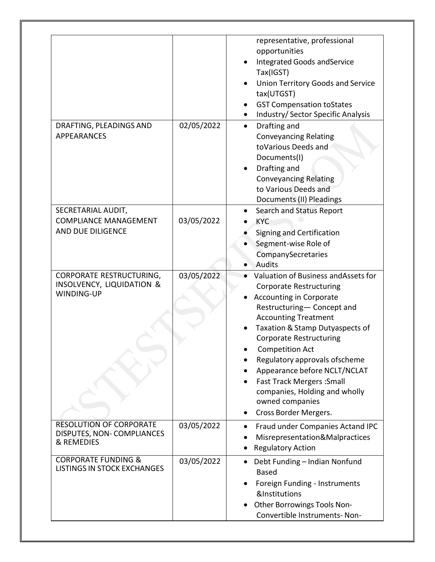|                                                                                       |            | representative, professional<br>opportunities<br><b>Integrated Goods and Service</b><br>Tax(IGST)<br><b>Union Territory Goods and Service</b><br>tax(UTGST)<br><b>GST Compensation toStates</b><br>Industry/ Sector Specific Analysis                                                                                                                                                                                                                  |
|---------------------------------------------------------------------------------------|------------|--------------------------------------------------------------------------------------------------------------------------------------------------------------------------------------------------------------------------------------------------------------------------------------------------------------------------------------------------------------------------------------------------------------------------------------------------------|
| DRAFTING, PLEADINGS AND<br><b>APPEARANCES</b>                                         | 02/05/2022 | Drafting and<br>$\bullet$<br><b>Conveyancing Relating</b><br>toVarious Deeds and<br>Documents(I)<br>Drafting and<br><b>Conveyancing Relating</b><br>to Various Deeds and<br>Documents (II) Pleadings                                                                                                                                                                                                                                                   |
| SECRETARIAL AUDIT,<br><b>COMPLIANCE MANAGEMENT</b><br>AND DUE DILIGENCE               | 03/05/2022 | Search and Status Report<br><b>KYC</b><br>Signing and Certification<br>Segment-wise Role of<br>CompanySecretaries<br>Audits                                                                                                                                                                                                                                                                                                                            |
| <b>CORPORATE RESTRUCTURING,</b><br><b>INSOLVENCY, LIQUIDATION &amp;</b><br>WINDING-UP | 03/05/2022 | Valuation of Business and Assets for<br><b>Corporate Restructuring</b><br><b>Accounting in Corporate</b><br>Restructuring- Concept and<br><b>Accounting Treatment</b><br>Taxation & Stamp Dutyaspects of<br><b>Corporate Restructuring</b><br><b>Competition Act</b><br>Regulatory approvals ofscheme<br>Appearance before NCLT/NCLAT<br><b>Fast Track Mergers: Small</b><br>companies, Holding and wholly<br>owned companies<br>Cross Border Mergers. |
| <b>RESOLUTION OF CORPORATE</b><br>DISPUTES, NON-COMPLIANCES<br>& REMEDIES             | 03/05/2022 | Fraud under Companies Actand IPC<br>Misrepresentation&Malpractices<br><b>Regulatory Action</b>                                                                                                                                                                                                                                                                                                                                                         |
| <b>CORPORATE FUNDING &amp;</b><br><b>LISTINGS IN STOCK EXCHANGES</b>                  | 03/05/2022 | Debt Funding - Indian Nonfund<br><b>Based</b><br>Foreign Funding - Instruments<br>&Institutions<br>Other Borrowings Tools Non-<br>Convertible Instruments-Non-                                                                                                                                                                                                                                                                                         |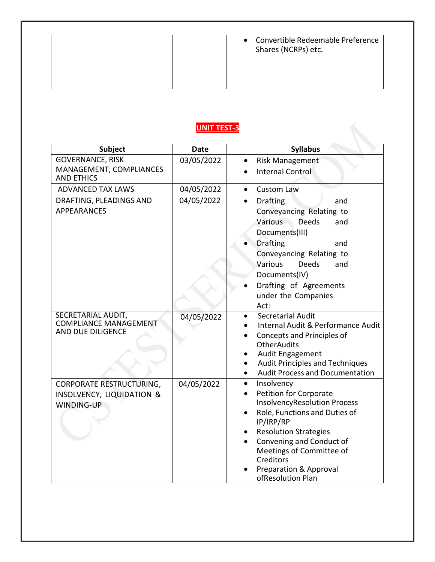### **UNIT TEST-3**

| <b>Subject</b>                                                             | <b>Date</b> | <b>Syllabus</b>                                                                                                                                                                                                                                                                                       |
|----------------------------------------------------------------------------|-------------|-------------------------------------------------------------------------------------------------------------------------------------------------------------------------------------------------------------------------------------------------------------------------------------------------------|
| <b>GOVERNANCE, RISK</b>                                                    | 03/05/2022  | <b>Risk Management</b>                                                                                                                                                                                                                                                                                |
| MANAGEMENT, COMPLIANCES<br><b>AND ETHICS</b>                               |             | <b>Internal Control</b>                                                                                                                                                                                                                                                                               |
| <b>ADVANCED TAX LAWS</b>                                                   | 04/05/2022  | <b>Custom Law</b><br>$\bullet$                                                                                                                                                                                                                                                                        |
| DRAFTING, PLEADINGS AND<br><b>APPEARANCES</b>                              | 04/05/2022  | <b>Drafting</b><br>and<br>$\bullet$<br>Conveyancing Relating to<br>Various<br><b>Deeds</b><br>and<br>Documents(III)<br><b>Drafting</b><br>and<br>Conveyancing Relating to<br>Various<br><b>Deeds</b><br>and<br>Documents(IV)<br>Drafting of Agreements                                                |
|                                                                            |             | under the Companies<br>Act:                                                                                                                                                                                                                                                                           |
| SECRETARIAL AUDIT,<br><b>COMPLIANCE MANAGEMENT</b><br>AND DUE DILIGENCE    | 04/05/2022  | Secretarial Audit<br>Internal Audit & Performance Audit<br>Concepts and Principles of<br><b>OtherAudits</b><br>Audit Engagement<br><b>Audit Principles and Techniques</b><br><b>Audit Process and Documentation</b>                                                                                   |
| <b>CORPORATE RESTRUCTURING,</b><br>INSOLVENCY, LIQUIDATION &<br>WINDING-UP | 04/05/2022  | Insolvency<br>$\bullet$<br>Petition for Corporate<br><b>InsolvencyResolution Process</b><br>Role, Functions and Duties of<br>IP/IRP/RP<br><b>Resolution Strategies</b><br>Convening and Conduct of<br>Meetings of Committee of<br>Creditors<br><b>Preparation &amp; Approval</b><br>ofResolution Plan |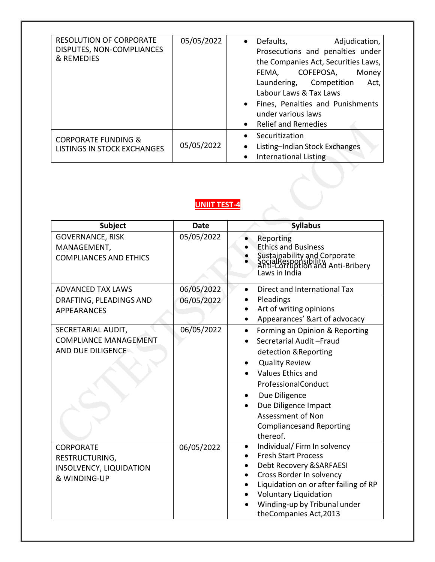| <b>RESOLUTION OF CORPORATE</b><br>DISPUTES, NON-COMPLIANCES<br>& REMEDIES | 05/05/2022 | Defaults,<br>Adjudication,<br>$\bullet$<br>Prosecutions and penalties under<br>the Companies Act, Securities Laws,<br>COFEPOSA,<br>FEMA,<br>Money<br>Laundering, Competition<br>Act,<br>Labour Laws & Tax Laws<br>Fines, Penalties and Punishments<br>under various laws<br><b>Relief and Remedies</b> |
|---------------------------------------------------------------------------|------------|--------------------------------------------------------------------------------------------------------------------------------------------------------------------------------------------------------------------------------------------------------------------------------------------------------|
| <b>CORPORATE FUNDING &amp;</b><br><b>LISTINGS IN STOCK EXCHANGES</b>      | 05/05/2022 | Securitization<br>$\bullet$<br>Listing-Indian Stock Exchanges<br><b>International Listing</b>                                                                                                                                                                                                          |

#### **UNIIT TEST-4**

| Subject                                                                       | <b>Date</b> | <b>Syllabus</b>                                                                                                                                                                                                                                                                                 |
|-------------------------------------------------------------------------------|-------------|-------------------------------------------------------------------------------------------------------------------------------------------------------------------------------------------------------------------------------------------------------------------------------------------------|
| <b>GOVERNANCE, RISK</b><br>MANAGEMENT,<br><b>COMPLIANCES AND ETHICS</b>       | 05/05/2022  | Reporting<br><b>Ethics and Business</b><br>Sustainability and Corporate<br>SocialResponsibility<br>Anti-Corruption and Anti-Bribery<br>Laws in India                                                                                                                                            |
| <b>ADVANCED TAX LAWS</b>                                                      | 06/05/2022  | Direct and International Tax<br>$\bullet$                                                                                                                                                                                                                                                       |
| DRAFTING, PLEADINGS AND<br><b>APPEARANCES</b>                                 | 06/05/2022  | Pleadings<br>Art of writing opinions<br>Appearances' &art of advocacy                                                                                                                                                                                                                           |
| SECRETARIAL AUDIT,<br><b>COMPLIANCE MANAGEMENT</b><br>AND DUE DILIGENCE       | 06/05/2022  | Forming an Opinion & Reporting<br>$\bullet$<br>Secretarial Audit-Fraud<br>detection & Reporting<br><b>Quality Review</b><br><b>Values Ethics and</b><br>ProfessionalConduct<br>Due Diligence<br>Due Diligence Impact<br><b>Assessment of Non</b><br><b>Compliancesand Reporting</b><br>thereof. |
| <b>CORPORATE</b><br>RESTRUCTURING,<br>INSOLVENCY, LIQUIDATION<br>& WINDING-UP | 06/05/2022  | Individual/ Firm In solvency<br>$\bullet$<br><b>Fresh Start Process</b><br>Debt Recovery & SARFAESI<br>Cross Border In solvency<br>Liquidation on or after failing of RP<br><b>Voluntary Liquidation</b><br>Winding-up by Tribunal under<br>theCompanies Act, 2013                              |